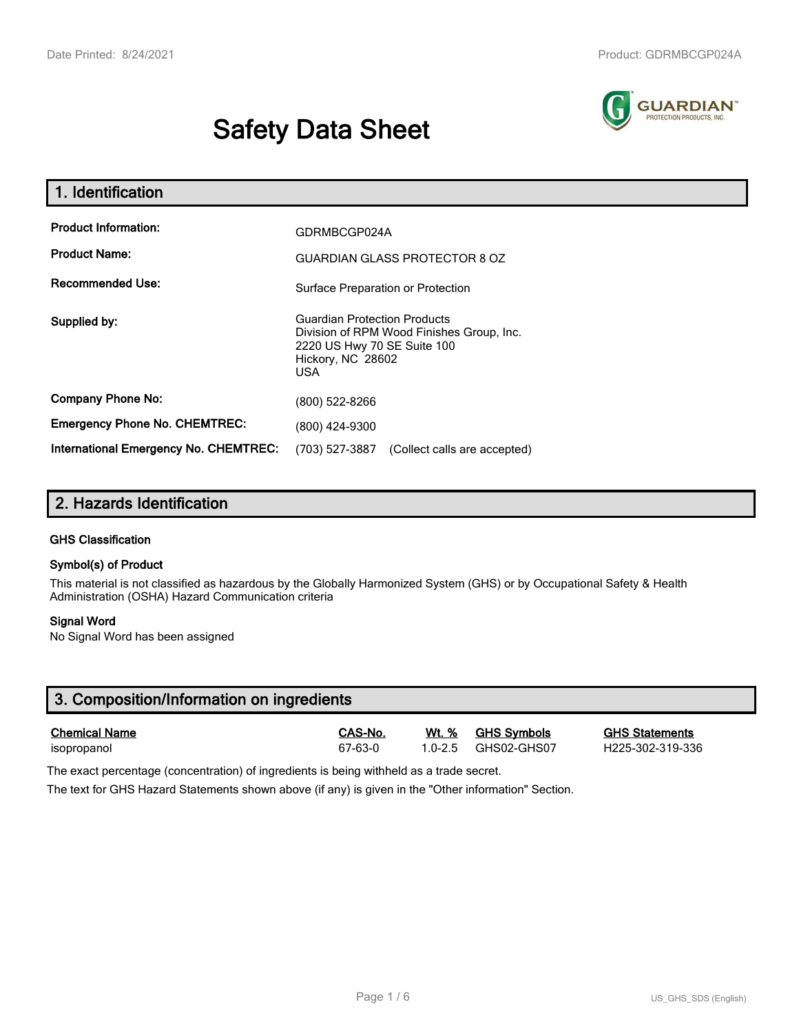# **Safety Data Sheet**



| 1. Identification                                   |                                                                                                                                                    |  |  |  |
|-----------------------------------------------------|----------------------------------------------------------------------------------------------------------------------------------------------------|--|--|--|
| <b>Product Information:</b><br><b>Product Name:</b> | GDRMBCGP024A<br><b>GUARDIAN GLASS PROTECTOR 8 OZ</b>                                                                                               |  |  |  |
| <b>Recommended Use:</b>                             | Surface Preparation or Protection                                                                                                                  |  |  |  |
| Supplied by:                                        | <b>Guardian Protection Products</b><br>Division of RPM Wood Finishes Group, Inc.<br>2220 US Hwy 70 SE Suite 100<br>Hickory, NC 28602<br><b>USA</b> |  |  |  |
| <b>Company Phone No:</b>                            | (800) 522-8266                                                                                                                                     |  |  |  |
| <b>Emergency Phone No. CHEMTREC:</b>                | (800) 424-9300                                                                                                                                     |  |  |  |
| International Emergency No. CHEMTREC:               | (703) 527-3887<br>(Collect calls are accepted)                                                                                                     |  |  |  |

# **2. Hazards Identification**

## **GHS Classification**

## **Symbol(s) of Product**

This material is not classified as hazardous by the Globally Harmonized System (GHS) or by Occupational Safety & Health Administration (OSHA) Hazard Communication criteria

## **Signal Word**

No Signal Word has been assigned

| 3. Composition/Information on ingredients |         |             |                    |                       |  |  |
|-------------------------------------------|---------|-------------|--------------------|-----------------------|--|--|
| <b>Chemical Name</b>                      | CAS-No. | Wt. %       | <b>GHS Symbols</b> | <b>GHS Statements</b> |  |  |
| isopropanol                               | 67-63-0 | $1.0 - 2.5$ | GHS02-GHS07        | H225-302-319-336      |  |  |

The exact percentage (concentration) of ingredients is being withheld as a trade secret.

The text for GHS Hazard Statements shown above (if any) is given in the "Other information" Section.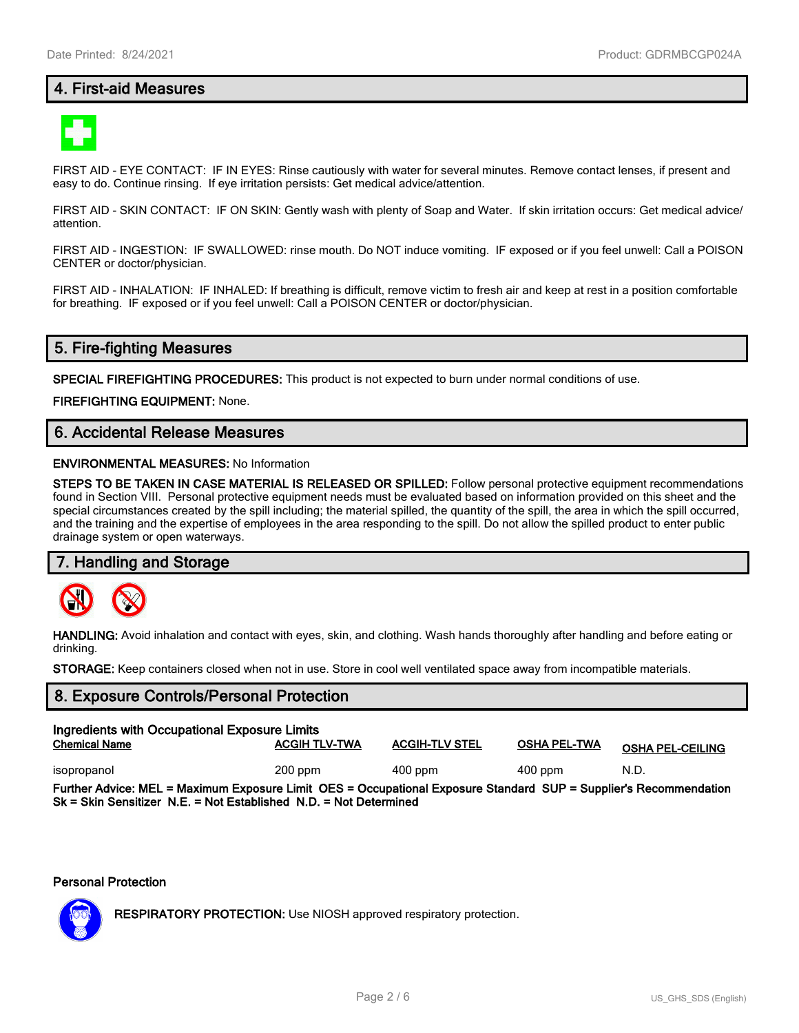# **4. First-aid Measures**



FIRST AID - EYE CONTACT: IF IN EYES: Rinse cautiously with water for several minutes. Remove contact lenses, if present and easy to do. Continue rinsing. If eye irritation persists: Get medical advice/attention.

FIRST AID - SKIN CONTACT: IF ON SKIN: Gently wash with plenty of Soap and Water. If skin irritation occurs: Get medical advice/ attention.

FIRST AID - INGESTION: IF SWALLOWED: rinse mouth. Do NOT induce vomiting. IF exposed or if you feel unwell: Call a POISON CENTER or doctor/physician.

FIRST AID - INHALATION: IF INHALED: If breathing is difficult, remove victim to fresh air and keep at rest in a position comfortable for breathing. IF exposed or if you feel unwell: Call a POISON CENTER or doctor/physician.

# **5. Fire-fighting Measures**

**SPECIAL FIREFIGHTING PROCEDURES:** This product is not expected to burn under normal conditions of use.

**FIREFIGHTING EQUIPMENT:** None.

# **6. Accidental Release Measures**

#### **ENVIRONMENTAL MEASURES:** No Information

**STEPS TO BE TAKEN IN CASE MATERIAL IS RELEASED OR SPILLED:** Follow personal protective equipment recommendations found in Section VIII. Personal protective equipment needs must be evaluated based on information provided on this sheet and the special circumstances created by the spill including; the material spilled, the quantity of the spill, the area in which the spill occurred, and the training and the expertise of employees in the area responding to the spill. Do not allow the spilled product to enter public drainage system or open waterways.

## **7. Handling and Storage**



**HANDLING:** Avoid inhalation and contact with eyes, skin, and clothing. Wash hands thoroughly after handling and before eating or drinking.

**STORAGE:** Keep containers closed when not in use. Store in cool well ventilated space away from incompatible materials.

# **8. Exposure Controls/Personal Protection**

| Ingredients with Occupational Exposure Limits                                                                                                                                            |                      |                       |                     |                         |  |  |
|------------------------------------------------------------------------------------------------------------------------------------------------------------------------------------------|----------------------|-----------------------|---------------------|-------------------------|--|--|
| <b>Chemical Name</b>                                                                                                                                                                     | <b>ACGIH TLV-TWA</b> | <b>ACGIH-TLV STEL</b> | <b>OSHA PEL-TWA</b> | <b>OSHA PEL-CEILING</b> |  |  |
| isopropanol                                                                                                                                                                              | $200$ ppm            | $400$ ppm             | $400$ ppm           | N.D.                    |  |  |
| Further Advice: MEL = Maximum Exposure Limit OES = Occupational Exposure Standard SUP = Supplier's Recommendation<br>$Sk = Skin$ Sensitizer N.E. = Not Established N.D. = Not Determined |                      |                       |                     |                         |  |  |

#### **Personal Protection**



**RESPIRATORY PROTECTION:** Use NIOSH approved respiratory protection.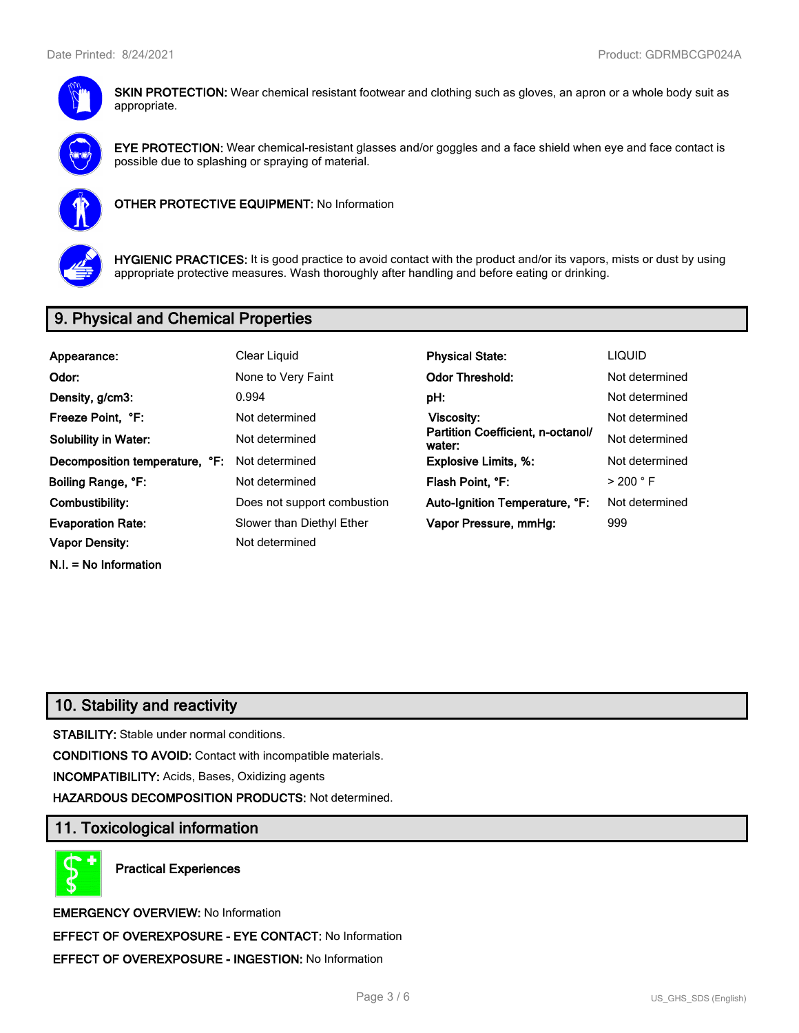

**SKIN PROTECTION:** Wear chemical resistant footwear and clothing such as gloves, an apron or a whole body suit as appropriate.



**EYE PROTECTION:** Wear chemical-resistant glasses and/or goggles and a face shield when eye and face contact is possible due to splashing or spraying of material.



**OTHER PROTECTIVE EQUIPMENT:** No Information



**HYGIENIC PRACTICES:** It is good practice to avoid contact with the product and/or its vapors, mists or dust by using appropriate protective measures. Wash thoroughly after handling and before eating or drinking.

# **9. Physical and Chemical Properties**

| Appearance:                    | Clear Liquid                | <b>Physical State:</b>                      | <b>LIQUID</b>        |
|--------------------------------|-----------------------------|---------------------------------------------|----------------------|
| Odor:                          | None to Very Faint          | <b>Odor Threshold:</b>                      | Not determined       |
| Density, g/cm3:                | 0.994                       | pH:                                         | Not determined       |
| Freeze Point, °F:              | Not determined              | <b>Viscosity:</b>                           | Not determined       |
| <b>Solubility in Water:</b>    | Not determined              | Partition Coefficient, n-octanol/<br>water: | Not determined       |
| Decomposition temperature, °F: | Not determined              | <b>Explosive Limits, %:</b>                 | Not determined       |
| Boiling Range, °F:             | Not determined              | Flash Point, °F:                            | $>$ 200 $^{\circ}$ F |
| Combustibility:                | Does not support combustion | Auto-Ignition Temperature, °F:              | Not determined       |
| <b>Evaporation Rate:</b>       | Slower than Diethyl Ether   | Vapor Pressure, mmHg:                       | 999                  |
| <b>Vapor Density:</b>          | Not determined              |                                             |                      |
| $N.I. = No Information$        |                             |                                             |                      |

# **10. Stability and reactivity**

**STABILITY:** Stable under normal conditions.

**CONDITIONS TO AVOID:** Contact with incompatible materials.

**INCOMPATIBILITY:** Acids, Bases, Oxidizing agents

**HAZARDOUS DECOMPOSITION PRODUCTS:** Not determined.

# **11. Toxicological information**

**Practical Experiences**

**EMERGENCY OVERVIEW:** No Information **EFFECT OF OVEREXPOSURE - EYE CONTACT:** No Information **EFFECT OF OVEREXPOSURE - INGESTION:** No Information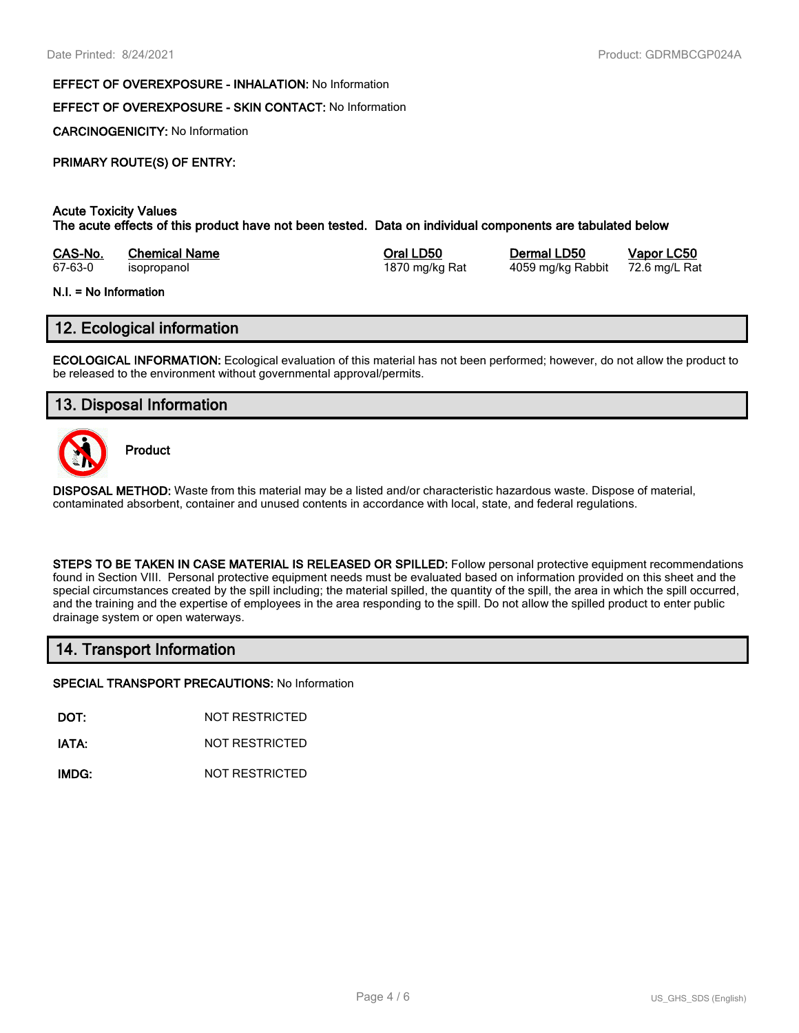#### **EFFECT OF OVEREXPOSURE - INHALATION:** No Information

#### **EFFECT OF OVEREXPOSURE - SKIN CONTACT:** No Information

**CARCINOGENICITY:** No Information

#### **PRIMARY ROUTE(S) OF ENTRY:**

#### **Acute Toxicity Values**

**The acute effects of this product have not been tested. Data on individual components are tabulated below**

| CAS-No. | <b>Chemical Name</b> | Oral LD50      | Dermal LD50       | Vapor LC50   |
|---------|----------------------|----------------|-------------------|--------------|
| 67-63-0 | isopropanol          | 1870 mg/kg Rat | 4059 mg/kg Rabbit | 72.6 mg/L Ra |

#### **N.I. = No Information**

# **12. Ecological information**

**ECOLOGICAL INFORMATION:** Ecological evaluation of this material has not been performed; however, do not allow the product to be released to the environment without governmental approval/permits.

# **13. Disposal Information**



**Product**

**DISPOSAL METHOD:** Waste from this material may be a listed and/or characteristic hazardous waste. Dispose of material, contaminated absorbent, container and unused contents in accordance with local, state, and federal regulations.

**STEPS TO BE TAKEN IN CASE MATERIAL IS RELEASED OR SPILLED:** Follow personal protective equipment recommendations found in Section VIII. Personal protective equipment needs must be evaluated based on information provided on this sheet and the special circumstances created by the spill including; the material spilled, the quantity of the spill, the area in which the spill occurred, and the training and the expertise of employees in the area responding to the spill. Do not allow the spilled product to enter public drainage system or open waterways.

# **14. Transport Information**

**SPECIAL TRANSPORT PRECAUTIONS:** No Information

**DOT:** NOT RESTRICTED

**IATA:** NOT RESTRICTED

**IMDG:** NOT RESTRICTED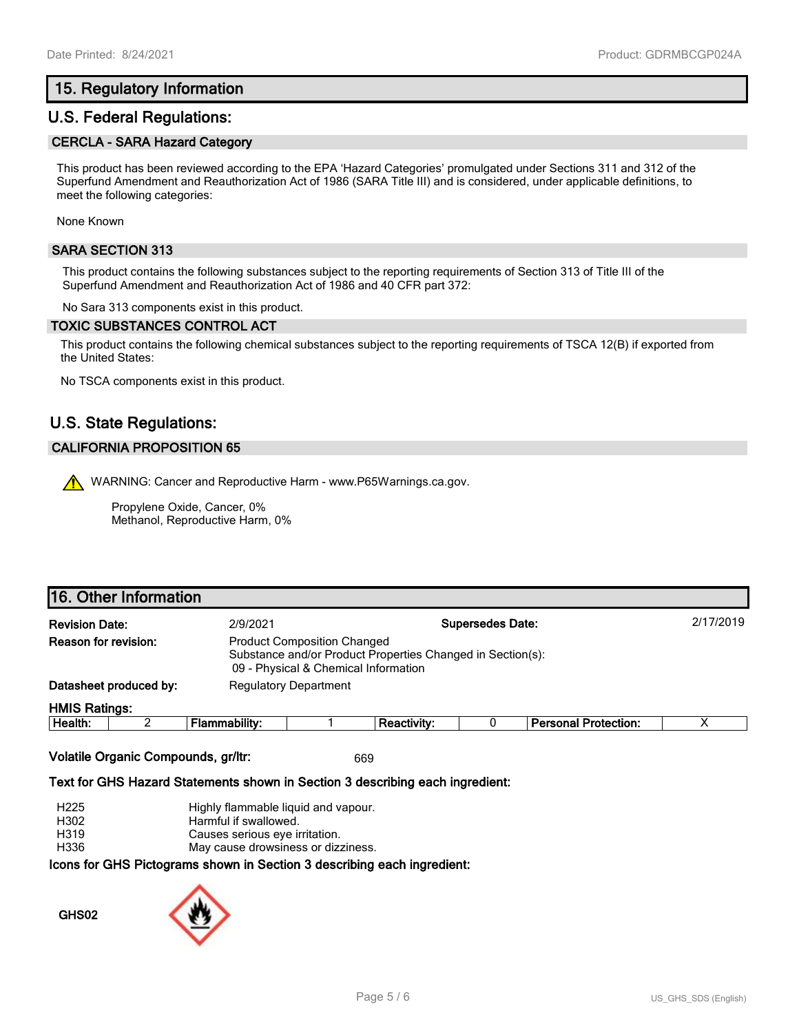# **15. Regulatory Information**

# **U.S. Federal Regulations:**

## **CERCLA - SARA Hazard Category**

This product has been reviewed according to the EPA 'Hazard Categories' promulgated under Sections 311 and 312 of the Superfund Amendment and Reauthorization Act of 1986 (SARA Title III) and is considered, under applicable definitions, to meet the following categories:

None Known

## **SARA SECTION 313**

This product contains the following substances subject to the reporting requirements of Section 313 of Title III of the Superfund Amendment and Reauthorization Act of 1986 and 40 CFR part 372:

No Sara 313 components exist in this product.

#### **TOXIC SUBSTANCES CONTROL ACT**

This product contains the following chemical substances subject to the reporting requirements of TSCA 12(B) if exported from the United States:

No TSCA components exist in this product.

# **U.S. State Regulations:**

## **CALIFORNIA PROPOSITION 65**

WARNING: Cancer and Reproductive Harm - www.P65Warnings.ca.gov.

Propylene Oxide, Cancer, 0% Methanol, Reproductive Harm, 0%

# **16. Other Information**

| <b>Revision Date:</b> |                                                                                                                                                                         | 2/9/2021      |                              |             | <b>Supersedes Date:</b> |                             | 2/17/2019 |
|-----------------------|-------------------------------------------------------------------------------------------------------------------------------------------------------------------------|---------------|------------------------------|-------------|-------------------------|-----------------------------|-----------|
|                       | <b>Reason for revision:</b><br><b>Product Composition Changed</b><br>Substance and/or Product Properties Changed in Section(s):<br>09 - Physical & Chemical Information |               |                              |             |                         |                             |           |
|                       | Datasheet produced by:                                                                                                                                                  |               | <b>Regulatory Department</b> |             |                         |                             |           |
| <b>HMIS Ratings:</b>  |                                                                                                                                                                         |               |                              |             |                         |                             |           |
| Health:               |                                                                                                                                                                         | Flammability: |                              | Reactivity: |                         | <b>Personal Protection:</b> |           |

**Volatile Organic Compounds, gr/ltr:** 669

#### **Text for GHS Hazard Statements shown in Section 3 describing each ingredient:**

H225 Highly flammable liquid and vapour.

H302 Harmful if swallowed.

H319 Causes serious eye irritation.

H336 May cause drowsiness or dizziness.

#### **Icons for GHS Pictograms shown in Section 3 describing each ingredient:**

**GHS02**